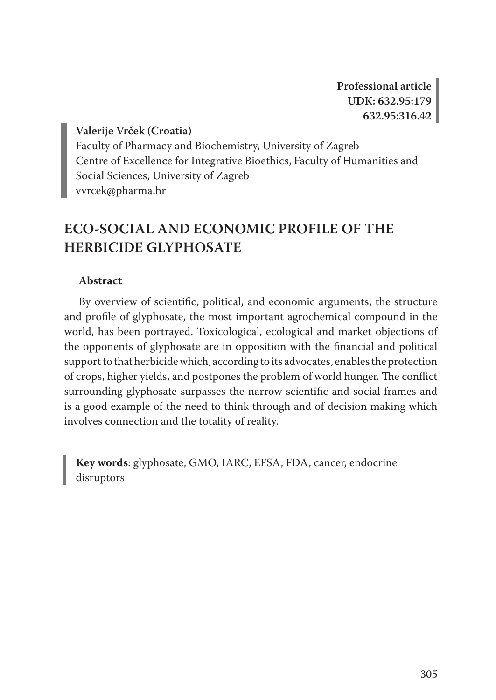**Professional article UDK: 632.95:179 632.95:316.42**

**Valerije Vrček (Croatia)** Faculty of Pharmacy and Biochemistry, University of Zagreb Centre of Excellence for Integrative Bioethics, Faculty of Humanities and Social Sciences, University of Zagreb vvrcek@pharma.hr

## **ECO-SOCIAL AND ECONOMIC PROFILE OF THE HERBICIDE GLYPHOSATE**

### **Abstract**

By overview of scientific, political, and economic arguments, the structure and profile of glyphosate, the most important agrochemical compound in the world, has been portrayed. Toxicological, ecological and market objections of the opponents of glyphosate are in opposition with the financial and political support to that herbicide which, according to its advocates, enables the protection of crops, higher yields, and postpones the problem of world hunger. The conflict surrounding glyphosate surpasses the narrow scientific and social frames and is a good example of the need to think through and of decision making which involves connection and the totality of reality.

**Key words**: glyphosate, GMO, IARC, EFSA, FDA, cancer, endocrine disruptors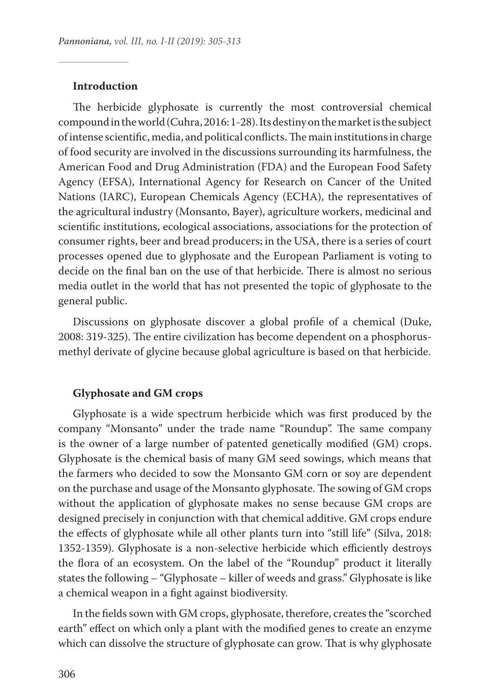#### **Introduction**

The herbicide glyphosate is currently the most controversial chemical compound in the world (Cuhra, 2016: 1-28). Its destiny on the market is the subject of intense scientific, media, and political conflicts. The main institutions in charge of food security are involved in the discussions surrounding its harmfulness, the American Food and Drug Administration (FDA) and the European Food Safety Agency (EFSA), International Agency for Research on Cancer of the United Nations (IARC), European Chemicals Agency (ECHA), the representatives of the agricultural industry (Monsanto, Bayer), agriculture workers, medicinal and scientific institutions, ecological associations, associations for the protection of consumer rights, beer and bread producers; in the USA, there is a series of court processes opened due to glyphosate and the European Parliament is voting to decide on the final ban on the use of that herbicide. There is almost no serious media outlet in the world that has not presented the topic of glyphosate to the general public.

Discussions on glyphosate discover a global profile of a chemical (Duke, 2008: 319-325). The entire civilization has become dependent on a phosphorusmethyl derivate of glycine because global agriculture is based on that herbicide.

#### **Glyphosate and GM crops**

Glyphosate is a wide spectrum herbicide which was first produced by the company "Monsanto" under the trade name "Roundup". The same company is the owner of a large number of patented genetically modified (GM) crops. Glyphosate is the chemical basis of many GM seed sowings, which means that the farmers who decided to sow the Monsanto GM corn or soy are dependent on the purchase and usage of the Monsanto glyphosate. The sowing of GM crops without the application of glyphosate makes no sense because GM crops are designed precisely in conjunction with that chemical additive. GM crops endure the effects of glyphosate while all other plants turn into "still life" (Silva, 2018: 1352-1359). Glyphosate is a non-selective herbicide which efficiently destroys the flora of an ecosystem. On the label of the "Roundup" product it literally states the following – "Glyphosate – killer of weeds and grass." Glyphosate is like a chemical weapon in a fight against biodiversity.

In the fields sown with GM crops, glyphosate, therefore, creates the "scorched earth" effect on which only a plant with the modified genes to create an enzyme which can dissolve the structure of glyphosate can grow. That is why glyphosate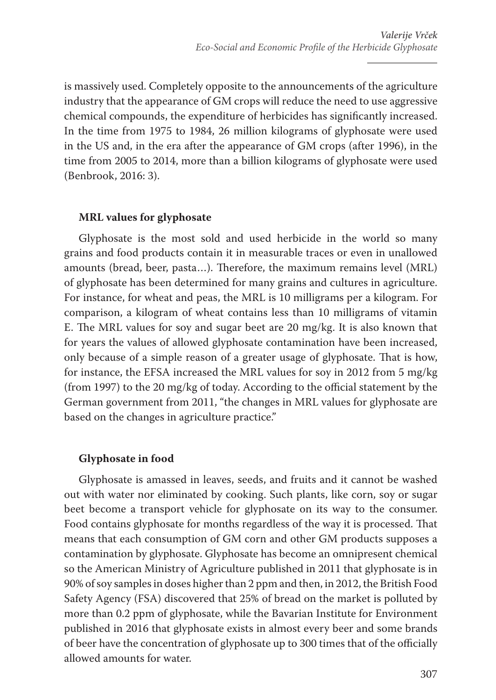is massively used. Completely opposite to the announcements of the agriculture industry that the appearance of GM crops will reduce the need to use aggressive chemical compounds, the expenditure of herbicides has significantly increased. In the time from 1975 to 1984, 26 million kilograms of glyphosate were used in the US and, in the era after the appearance of GM crops (after 1996), in the time from 2005 to 2014, more than a billion kilograms of glyphosate were used (Benbrook, 2016: 3).

## **MRL values for glyphosate**

Glyphosate is the most sold and used herbicide in the world so many grains and food products contain it in measurable traces or even in unallowed amounts (bread, beer, pasta…). Therefore, the maximum remains level (MRL) of glyphosate has been determined for many grains and cultures in agriculture. For instance, for wheat and peas, the MRL is 10 milligrams per a kilogram. For comparison, a kilogram of wheat contains less than 10 milligrams of vitamin E. The MRL values for soy and sugar beet are 20 mg/kg. It is also known that for years the values of allowed glyphosate contamination have been increased, only because of a simple reason of a greater usage of glyphosate. That is how, for instance, the EFSA increased the MRL values for soy in 2012 from 5 mg/kg (from 1997) to the 20 mg/kg of today. According to the official statement by the German government from 2011, "the changes in MRL values for glyphosate are based on the changes in agriculture practice."

## **Glyphosate in food**

Glyphosate is amassed in leaves, seeds, and fruits and it cannot be washed out with water nor eliminated by cooking. Such plants, like corn, soy or sugar beet become a transport vehicle for glyphosate on its way to the consumer. Food contains glyphosate for months regardless of the way it is processed. That means that each consumption of GM corn and other GM products supposes a contamination by glyphosate. Glyphosate has become an omnipresent chemical so the American Ministry of Agriculture published in 2011 that glyphosate is in 90% of soy samples in doses higher than 2 ppm and then, in 2012, the British Food Safety Agency (FSA) discovered that 25% of bread on the market is polluted by more than 0.2 ppm of glyphosate, while the Bavarian Institute for Environment published in 2016 that glyphosate exists in almost every beer and some brands of beer have the concentration of glyphosate up to 300 times that of the officially allowed amounts for water.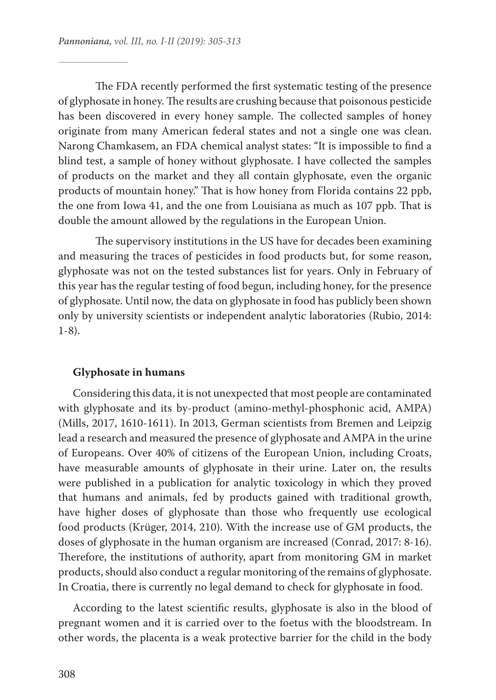The FDA recently performed the first systematic testing of the presence of glyphosate in honey. The results are crushing because that poisonous pesticide has been discovered in every honey sample. The collected samples of honey originate from many American federal states and not a single one was clean. Narong Chamkasem, an FDA chemical analyst states: "It is impossible to find a blind test, a sample of honey without glyphosate. I have collected the samples of products on the market and they all contain glyphosate, even the organic products of mountain honey." That is how honey from Florida contains 22 ppb, the one from Iowa 41, and the one from Louisiana as much as 107 ppb. That is double the amount allowed by the regulations in the European Union.

The supervisory institutions in the US have for decades been examining and measuring the traces of pesticides in food products but, for some reason, glyphosate was not on the tested substances list for years. Only in February of this year has the regular testing of food begun, including honey, for the presence of glyphosate. Until now, the data on glyphosate in food has publicly been shown only by university scientists or independent analytic laboratories (Rubio, 2014: 1-8).

#### **Glyphosate in humans**

Considering this data, it is not unexpected that most people are contaminated with glyphosate and its by-product (amino-methyl-phosphonic acid, AMPA) (Mills, 2017, 1610-1611). In 2013, German scientists from Bremen and Leipzig lead a research and measured the presence of glyphosate and AMPA in the urine of Europeans. Over 40% of citizens of the European Union, including Croats, have measurable amounts of glyphosate in their urine. Later on, the results were published in a publication for analytic toxicology in which they proved that humans and animals, fed by products gained with traditional growth, have higher doses of glyphosate than those who frequently use ecological food products (Krüger, 2014, 210). With the increase use of GM products, the doses of glyphosate in the human organism are increased (Conrad, 2017: 8-16). Therefore, the institutions of authority, apart from monitoring GM in market products, should also conduct a regular monitoring of the remains of glyphosate. In Croatia, there is currently no legal demand to check for glyphosate in food.

According to the latest scientific results, glyphosate is also in the blood of pregnant women and it is carried over to the foetus with the bloodstream. In other words, the placenta is a weak protective barrier for the child in the body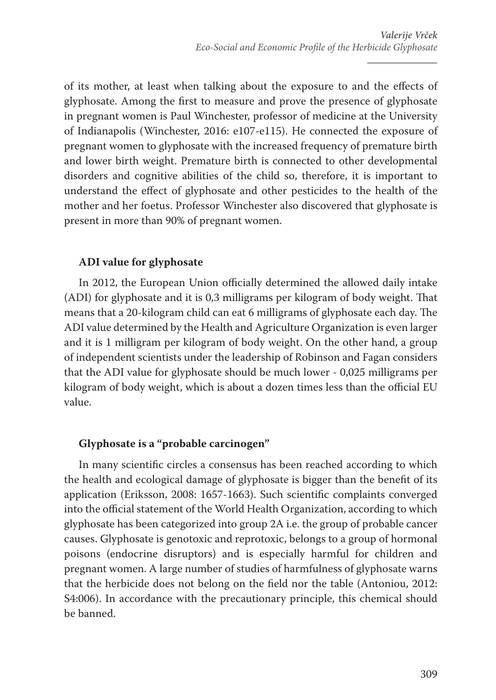of its mother, at least when talking about the exposure to and the effects of glyphosate. Among the first to measure and prove the presence of glyphosate in pregnant women is Paul Winchester, professor of medicine at the University of Indianapolis (Winchester, 2016: e107-e115). He connected the exposure of pregnant women to glyphosate with the increased frequency of premature birth and lower birth weight. Premature birth is connected to other developmental disorders and cognitive abilities of the child so, therefore, it is important to understand the effect of glyphosate and other pesticides to the health of the mother and her foetus. Professor Winchester also discovered that glyphosate is present in more than 90% of pregnant women.

## **ADI value for glyphosate**

In 2012, the European Union officially determined the allowed daily intake (ADI) for glyphosate and it is 0,3 milligrams per kilogram of body weight. That means that a 20-kilogram child can eat 6 milligrams of glyphosate each day. The ADI value determined by the Health and Agriculture Organization is even larger and it is 1 milligram per kilogram of body weight. On the other hand, a group of independent scientists under the leadership of Robinson and Fagan considers that the ADI value for glyphosate should be much lower - 0,025 milligrams per kilogram of body weight, which is about a dozen times less than the official EU value.

## **Glyphosate is a "probable carcinogen"**

In many scientific circles a consensus has been reached according to which the health and ecological damage of glyphosate is bigger than the benefit of its application (Eriksson, 2008: 1657-1663). Such scientific complaints converged into the official statement of the World Health Organization, according to which glyphosate has been categorized into group 2A i.e. the group of probable cancer causes. Glyphosate is genotoxic and reprotoxic, belongs to a group of hormonal poisons (endocrine disruptors) and is especially harmful for children and pregnant women. A large number of studies of harmfulness of glyphosate warns that the herbicide does not belong on the field nor the table (Antoniou, 2012: S4:006). In accordance with the precautionary principle, this chemical should be banned.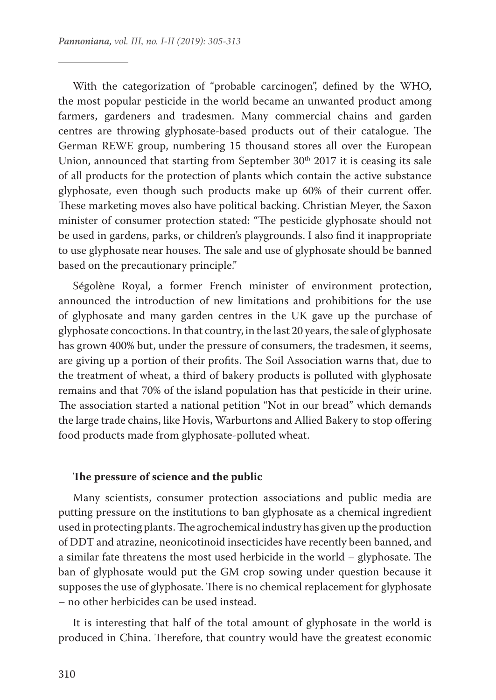With the categorization of "probable carcinogen", defined by the WHO, the most popular pesticide in the world became an unwanted product among farmers, gardeners and tradesmen. Many commercial chains and garden centres are throwing glyphosate-based products out of their catalogue. The German REWE group, numbering 15 thousand stores all over the European Union, announced that starting from September  $30<sup>th</sup>$  2017 it is ceasing its sale of all products for the protection of plants which contain the active substance glyphosate, even though such products make up 60% of their current offer. These marketing moves also have political backing. Christian Meyer, the Saxon minister of consumer protection stated: "The pesticide glyphosate should not be used in gardens, parks, or children's playgrounds. I also find it inappropriate to use glyphosate near houses. The sale and use of glyphosate should be banned based on the precautionary principle."

Ségolène Royal, a former French minister of environment protection, announced the introduction of new limitations and prohibitions for the use of glyphosate and many garden centres in the UK gave up the purchase of glyphosate concoctions. In that country, in the last 20 years, the sale of glyphosate has grown 400% but, under the pressure of consumers, the tradesmen, it seems, are giving up a portion of their profits. The Soil Association warns that, due to the treatment of wheat, a third of bakery products is polluted with glyphosate remains and that 70% of the island population has that pesticide in their urine. The association started a national petition "Not in our bread" which demands the large trade chains, like Hovis, Warburtons and Allied Bakery to stop offering food products made from glyphosate-polluted wheat.

#### **The pressure of science and the public**

Many scientists, consumer protection associations and public media are putting pressure on the institutions to ban glyphosate as a chemical ingredient used in protecting plants. The agrochemical industry has given up the production of DDT and atrazine, neonicotinoid insecticides have recently been banned, and a similar fate threatens the most used herbicide in the world – glyphosate. The ban of glyphosate would put the GM crop sowing under question because it supposes the use of glyphosate. There is no chemical replacement for glyphosate – no other herbicides can be used instead.

It is interesting that half of the total amount of glyphosate in the world is produced in China. Therefore, that country would have the greatest economic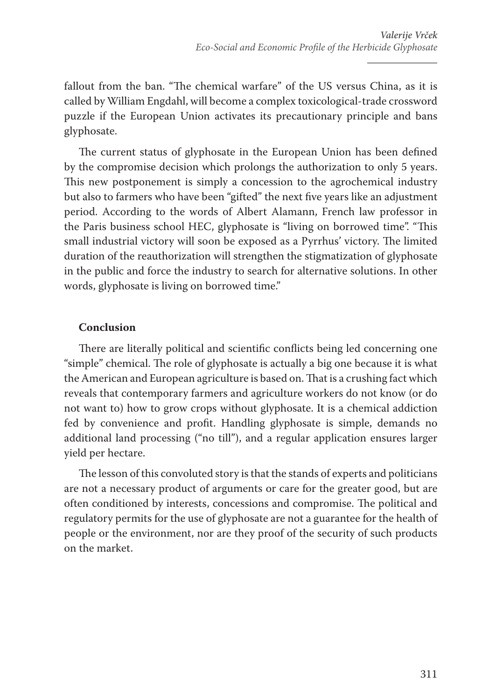fallout from the ban. "The chemical warfare" of the US versus China, as it is called by William Engdahl, will become a complex toxicological-trade crossword puzzle if the European Union activates its precautionary principle and bans glyphosate.

The current status of glyphosate in the European Union has been defined by the compromise decision which prolongs the authorization to only 5 years. This new postponement is simply a concession to the agrochemical industry but also to farmers who have been "gifted" the next five years like an adjustment period. According to the words of Albert Alamann, French law professor in the Paris business school HEC, glyphosate is "living on borrowed time". "This small industrial victory will soon be exposed as a Pyrrhus' victory. The limited duration of the reauthorization will strengthen the stigmatization of glyphosate in the public and force the industry to search for alternative solutions. In other words, glyphosate is living on borrowed time."

## **Conclusion**

There are literally political and scientific conflicts being led concerning one "simple" chemical. The role of glyphosate is actually a big one because it is what the American and European agriculture is based on. That is a crushing fact which reveals that contemporary farmers and agriculture workers do not know (or do not want to) how to grow crops without glyphosate. It is a chemical addiction fed by convenience and profit. Handling glyphosate is simple, demands no additional land processing ("no till"), and a regular application ensures larger yield per hectare.

The lesson of this convoluted story is that the stands of experts and politicians are not a necessary product of arguments or care for the greater good, but are often conditioned by interests, concessions and compromise. The political and regulatory permits for the use of glyphosate are not a guarantee for the health of people or the environment, nor are they proof of the security of such products on the market.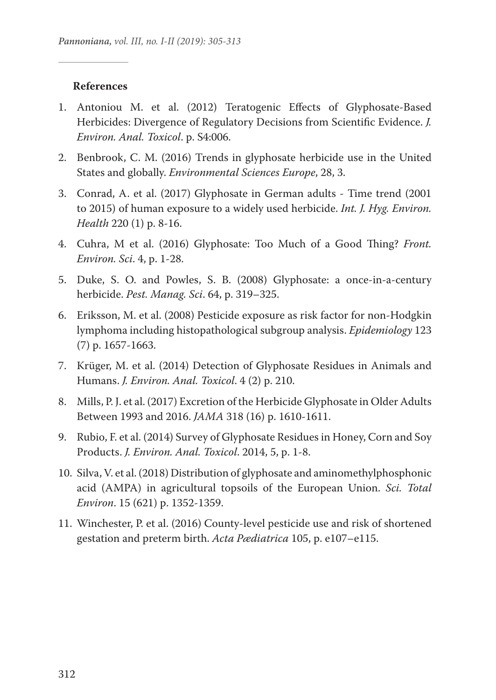#### **References**

- 1. Antoniou M. et al. (2012) Teratogenic Effects of Glyphosate-Based Herbicides: Divergence of Regulatory Decisions from Scientific Evidence. *J. Environ. Anal. Toxicol*. p. S4:006.
- 2. Benbrook, C. M. (2016) Trends in glyphosate herbicide use in the United States and globally. *Environmental Sciences Europe*, 28, 3.
- 3. Conrad, A. et al. (2017) Glyphosate in German adults Time trend (2001 to 2015) of human exposure to a widely used herbicide. *Int. J. Hyg. Environ. Health* 220 (1) p. 8-16.
- 4. Cuhra, M et al. (2016) Glyphosate: Too Much of a Good Thing? *Front. Environ. Sci*. 4, p. 1-28.
- 5. Duke, S. O. and Powles, S. B. (2008) Glyphosate: a once‐in‐a‐century herbicide. *Pest. Manag. Sci*. 64, p. 319–325.
- 6. Eriksson, M. et al. (2008) Pesticide exposure as risk factor for non‐Hodgkin lymphoma including histopathological subgroup analysis. *Epidemiology* 123 (7) p. 1657-1663.
- 7. Krüger, M. et al. (2014) Detection of Glyphosate Residues in Animals and Humans. *J. Environ. Anal. Toxicol*. 4 (2) p. 210.
- 8. Mills, P. J. et al. (2017) Excretion of the Herbicide Glyphosate in Older Adults Between 1993 and 2016. *JAMA* 318 (16) p. 1610-1611.
- 9. Rubio, F. et al. (2014) Survey of Glyphosate Residues in Honey, Corn and Soy Products. *J. Environ. Anal. Toxicol*. 2014, 5, p. 1-8.
- 10. Silva, V. et al. (2018) Distribution of glyphosate and aminomethylphosphonic acid (AMPA) in agricultural topsoils of the European Union. *Sci. Total Environ*. 15 (621) p. 1352-1359.
- 11. Winchester, P. et al. (2016) County-level pesticide use and risk of shortened gestation and preterm birth. *Acta Pædiatrica* 105, p. e107–e115.